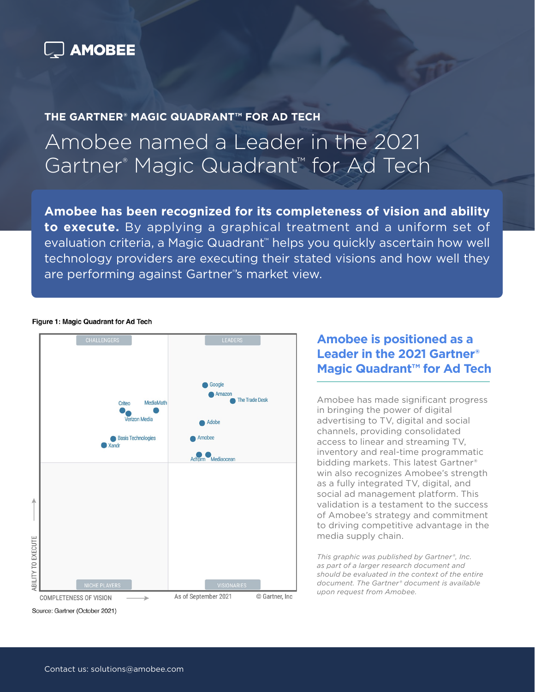

**THE GARTNER® MAGIC QUADRANT™ FOR AD TECH**

## Amobee named a Leader in the 2021 Gartner® Magic Quadrant™ for Ad Tech

**Amobee has been recognized for its completeness of vision and ability to execute.** By applying a graphical treatment and a uniform set of evaluation criteria, a Magic Quadrant<sup>™</sup> helps you quickly ascertain how well technology providers are executing their stated visions and how well they are performing against Gartner® 's market view.

### Figure 1: Magic Quadrant for Ad Tech



## **Amobee is positioned as a Leader in the 2021 Gartner® Magic Quadrant™ for Ad Tech**

Amobee has made significant progress in bringing the power of digital advertising to TV, digital and social channels, providing consolidated access to linear and streaming TV, inventory and real-time programmatic bidding markets. This latest Gartner® win also recognizes Amobee's strength as a fully integrated TV, digital, and social ad management platform. This validation is a testament to the success of Amobee's strategy and commitment to driving competitive advantage in the media supply chain.

*This graphic was published by Gartner®, Inc. as part of a larger research document and should be evaluated in the context of the entire document. The Gartner® document is available upon request from Amobee.*

Source: Gartner (October 2021)